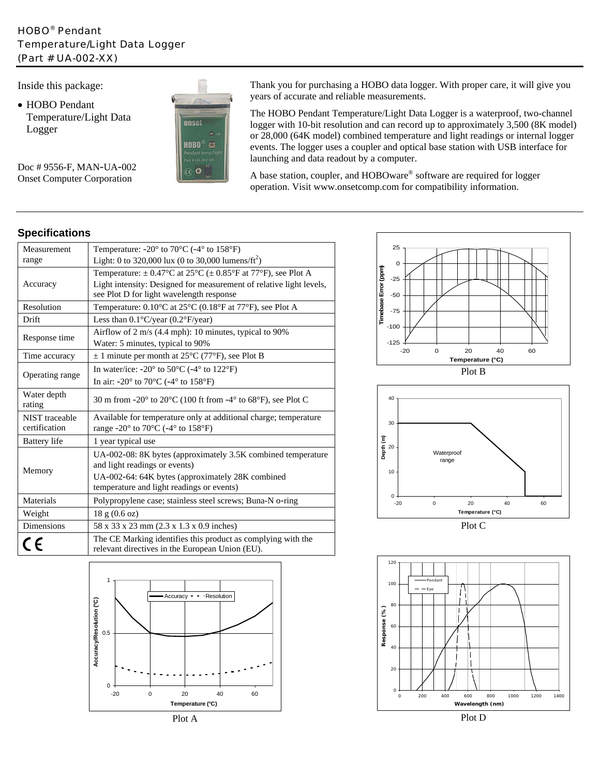## HOBO® Pendant Temperature/Light Data Logger (Part # UA-002-XX)

Inside this package:

• HOBO Pendant Temperature/Light Data Logger



Doc # 9556-F, MAN-UA-002 Onset Computer Corporation

Thank you for purchasing a HOBO data logger. With proper care, it will give you years of accurate and reliable measurements.

The HOBO Pendant Temperature/Light Data Logger is a waterproof, two-channel logger with 10-bit resolution and can record up to approximately 3,500 (8K model) or 28,000 (64K model) combined temperature and light readings or internal logger events. The logger uses a coupler and optical base station with USB interface for launching and data readout by a computer.

A base station, coupler, and HOBOware® software are required for logger operation. Visit www.onsetcomp.com for compatibility information.

## **Specifications**

| Measurement                     | Temperature: -20° to 70°C (-4° to 158°F)                                                                                                    |  |
|---------------------------------|---------------------------------------------------------------------------------------------------------------------------------------------|--|
| range                           | Light: 0 to 320,000 lux (0 to 30,000 lumens/ft <sup>2</sup> )                                                                               |  |
|                                 | Temperature: $\pm$ 0.47°C at 25°C ( $\pm$ 0.85°F at 77°F), see Plot A                                                                       |  |
| Accuracy                        | Light intensity: Designed for measurement of relative light levels,<br>see Plot D for light wavelength response                             |  |
| Resolution                      | Temperature: 0.10°C at 25°C (0.18°F at 77°F), see Plot A                                                                                    |  |
| Drift                           | Less than $0.1^{\circ}$ C/year $(0.2^{\circ}$ F/year)                                                                                       |  |
| Response time                   | Airflow of $2 \text{ m/s}$ (4.4 mph): 10 minutes, typical to 90%<br>Water: 5 minutes, typical to 90%                                        |  |
| Time accuracy                   | $\pm$ 1 minute per month at 25 <sup>o</sup> C (77 <sup>o</sup> F), see Plot B                                                               |  |
| Operating range                 | In water/ice: -20 $\textdegree$ to 50 $\textdegree$ C (-4 $\textdegree$ to 122 $\textdegree$ F)                                             |  |
|                                 | In air: -20 $\degree$ to 70 $\degree$ C (-4 $\degree$ to 158 $\degree$ F)                                                                   |  |
| Water depth<br>rating           | 30 m from -20 $\degree$ to 20 $\degree$ C (100 ft from -4 $\degree$ to 68 $\degree$ F), see Plot C                                          |  |
| NIST traceable<br>certification | Available for temperature only at additional charge; temperature<br>range -20 $\degree$ to 70 $\degree$ C (-4 $\degree$ to 158 $\degree$ F) |  |
| <b>Battery</b> life             | 1 year typical use                                                                                                                          |  |
| Memory                          | UA-002-08: 8K bytes (approximately 3.5K combined temperature<br>and light readings or events)                                               |  |
|                                 | UA-002-64: 64K bytes (approximately 28K combined<br>temperature and light readings or events)                                               |  |
| Materials                       | Polypropylene case; stainless steel screws; Buna-N o-ring                                                                                   |  |
| Weight                          | 18 g (0.6 oz)                                                                                                                               |  |
| <b>Dimensions</b>               | 58 x 33 x 23 mm (2.3 x 1.3 x 0.9 inches)                                                                                                    |  |
|                                 | The CE Marking identifies this product as complying with the<br>relevant directives in the European Union (EU).                             |  |
|                                 |                                                                                                                                             |  |













Plot D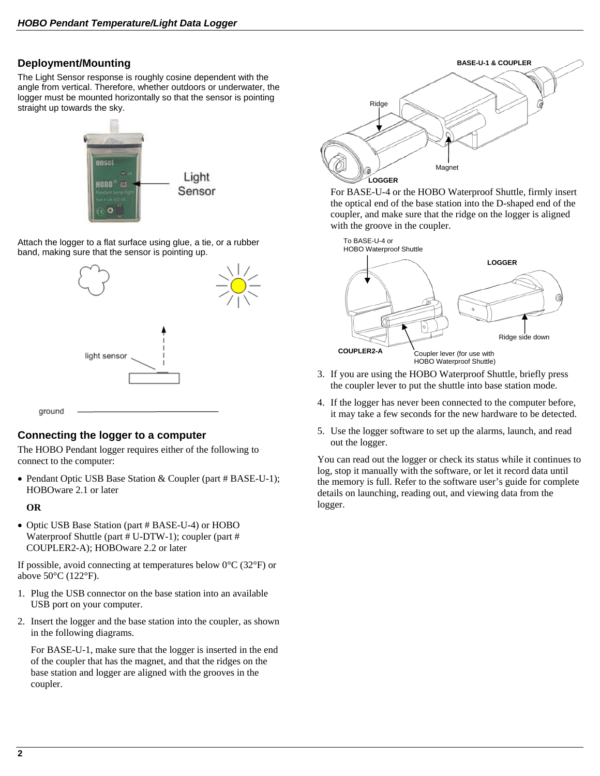### **Deployment/Mounting**

The Light Sensor response is roughly cosine dependent with the angle from vertical. Therefore, whether outdoors or underwater, the logger must be mounted horizontally so that the sensor is pointing straight up towards the sky.



Attach the logger to a flat surface using glue, a tie, or a rubber band, making sure that the sensor is pointing up.



#### **Connecting the logger to a computer**

The HOBO Pendant logger requires either of the following to connect to the computer:

• Pendant Optic USB Base Station & Coupler (part # BASE-U-1); HOBOware 2.1 or later

#### **OR**

• Optic USB Base Station (part # BASE-U-4) or HOBO Waterproof Shuttle (part # U-DTW-1); coupler (part # COUPLER2-A); HOBOware 2.2 or later

If possible, avoid connecting at temperatures below  $0^{\circ}$ C (32 $^{\circ}$ F) or above 50°C (122°F).

- 1. Plug the USB connector on the base station into an available USB port on your computer.
- 2. Insert the logger and the base station into the coupler, as shown in the following diagrams.

 For BASE-U-1, make sure that the logger is inserted in the end of the coupler that has the magnet, and that the ridges on the base station and logger are aligned with the grooves in the coupler.



 For BASE-U-4 or the HOBO Waterproof Shuttle, firmly insert the optical end of the base station into the D-shaped end of the coupler, and make sure that the ridge on the logger is aligned with the groove in the coupler.



- 3. If you are using the HOBO Waterproof Shuttle, briefly press the coupler lever to put the shuttle into base station mode.
- 4. If the logger has never been connected to the computer before, it may take a few seconds for the new hardware to be detected.
- 5. Use the logger software to set up the alarms, launch, and read out the logger.

You can read out the logger or check its status while it continues to log, stop it manually with the software, or let it record data until the memory is full. Refer to the software user's guide for complete details on launching, reading out, and viewing data from the logger.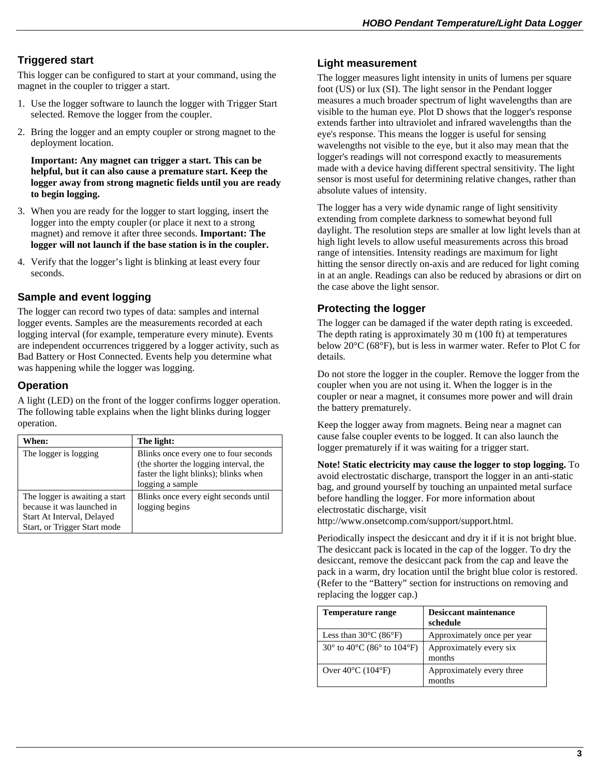# **Triggered start**

This logger can be configured to start at your command, using the magnet in the coupler to trigger a start.

- 1. Use the logger software to launch the logger with Trigger Start selected. Remove the logger from the coupler.
- 2. Bring the logger and an empty coupler or strong magnet to the deployment location.

**Important: Any magnet can trigger a start. This can be helpful, but it can also cause a premature start. Keep the logger away from strong magnetic fields until you are ready to begin logging.** 

- 3. When you are ready for the logger to start logging, insert the logger into the empty coupler (or place it next to a strong magnet) and remove it after three seconds. **Important: The logger will not launch if the base station is in the coupler.**
- 4. Verify that the logger's light is blinking at least every four seconds.

# **Sample and event logging**

The logger can record two types of data: samples and internal logger events. Samples are the measurements recorded at each logging interval (for example, temperature every minute). Events are independent occurrences triggered by a logger activity, such as Bad Battery or Host Connected. Events help you determine what was happening while the logger was logging.

### **Operation**

A light (LED) on the front of the logger confirms logger operation. The following table explains when the light blinks during logger operation.

| When:                                                                                                                      | The light:                                                                                                                                   |
|----------------------------------------------------------------------------------------------------------------------------|----------------------------------------------------------------------------------------------------------------------------------------------|
| The logger is logging                                                                                                      | Blinks once every one to four seconds<br>(the shorter the logging interval, the<br>faster the light blinks); blinks when<br>logging a sample |
| The logger is awaiting a start<br>because it was launched in<br>Start At Interval, Delayed<br>Start, or Trigger Start mode | Blinks once every eight seconds until<br>logging begins                                                                                      |

### **Light measurement**

The logger measures light intensity in units of lumens per square foot (US) or lux (SI). The light sensor in the Pendant logger measures a much broader spectrum of light wavelengths than are visible to the human eye. Plot D shows that the logger's response extends farther into ultraviolet and infrared wavelengths than the eye's response. This means the logger is useful for sensing wavelengths not visible to the eye, but it also may mean that the logger's readings will not correspond exactly to measurements made with a device having different spectral sensitivity. The light sensor is most useful for determining relative changes, rather than absolute values of intensity.

The logger has a very wide dynamic range of light sensitivity extending from complete darkness to somewhat beyond full daylight. The resolution steps are smaller at low light levels than at high light levels to allow useful measurements across this broad range of intensities. Intensity readings are maximum for light hitting the sensor directly on-axis and are reduced for light coming in at an angle. Readings can also be reduced by abrasions or dirt on the case above the light sensor.

### **Protecting the logger**

The logger can be damaged if the water depth rating is exceeded. The depth rating is approximately 30 m (100 ft) at temperatures below 20°C (68°F), but is less in warmer water. Refer to Plot C for details.

Do not store the logger in the coupler. Remove the logger from the coupler when you are not using it. When the logger is in the coupler or near a magnet, it consumes more power and will drain the battery prematurely.

Keep the logger away from magnets. Being near a magnet can cause false coupler events to be logged. It can also launch the logger prematurely if it was waiting for a trigger start.

**Note! Static electricity may cause the logger to stop logging.** To avoid electrostatic discharge, transport the logger in an anti-static bag, and ground yourself by touching an unpainted metal surface before handling the logger. For more information about electrostatic discharge, visit

http://www.onsetcomp.com/support/support.html.

Periodically inspect the desiccant and dry it if it is not bright blue. The desiccant pack is located in the cap of the logger. To dry the desiccant, remove the desiccant pack from the cap and leave the pack in a warm, dry location until the bright blue color is restored. (Refer to the "Battery" section for instructions on removing and replacing the logger cap.)

| <b>Temperature range</b>                                         | <b>Desiccant maintenance</b><br>schedule |
|------------------------------------------------------------------|------------------------------------------|
| Less than $30^{\circ}$ C (86 $^{\circ}$ F)                       | Approximately once per year              |
| 30 $\degree$ to 40 $\degree$ C (86 $\degree$ to 104 $\degree$ F) | Approximately every six<br>months        |
| Over $40^{\circ}$ C (104 $^{\circ}$ F)                           | Approximately every three<br>months      |